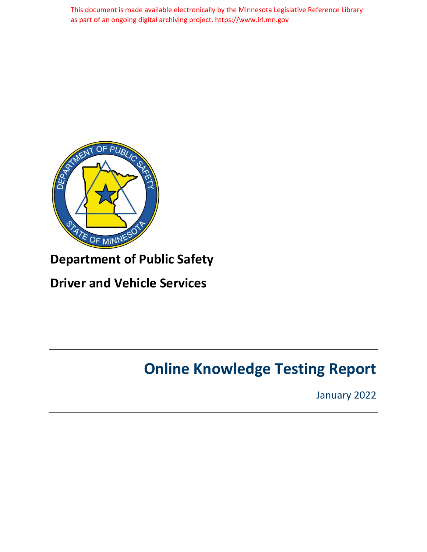This document is made available electronically by the Minnesota Legislative Reference Library as part of an ongoing digital archiving project. https://www.lrl.mn.gov



# **Department of Public Safety**

# <span id="page-0-0"></span>**Driver and Vehicle Services**

# **Online Knowledge Testing Report**

January 2022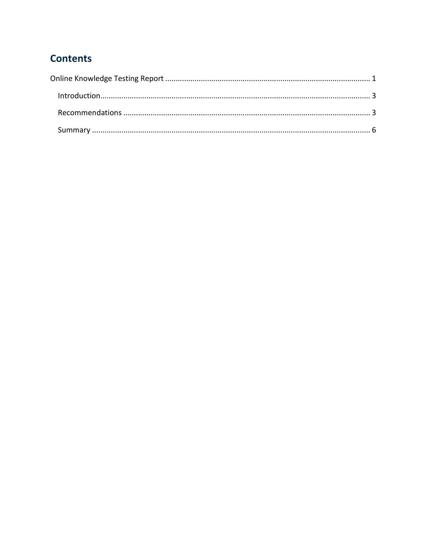## **Contents**

| Introduction 3 |
|----------------|
|                |
|                |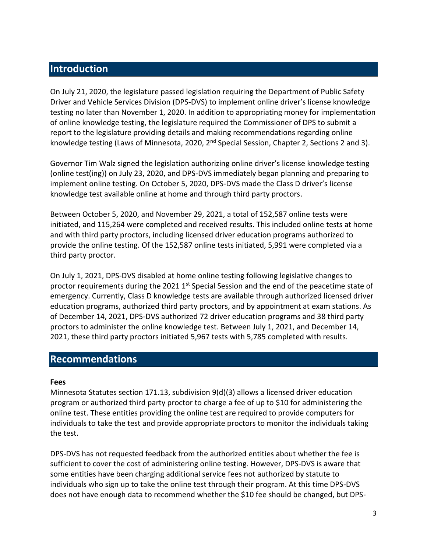## <span id="page-2-0"></span>**Introduction**

On July 21, 2020, the legislature passed legislation requiring the Department of Public Safety Driver and Vehicle Services Division (DPS-DVS) to implement online driver's license knowledge testing no later than November 1, 2020. In addition to appropriating money for implementation of online knowledge testing, the legislature required the Commissioner of DPS to submit a report to the legislature providing details and making recommendations regarding online knowledge testing (Laws of Minnesota, 2020, 2<sup>nd</sup> Special Session, Chapter 2, Sections 2 and 3).

Governor Tim Walz signed the legislation authorizing online driver's license knowledge testing (online test(ing)) on July 23, 2020, and DPS-DVS immediately began planning and preparing to implement online testing. On October 5, 2020, DPS-DVS made the Class D driver's license knowledge test available online at home and through third party proctors.

Between October 5, 2020, and November 29, 2021, a total of 152,587 online tests were initiated, and 115,264 were completed and received results. This included online tests at home and with third party proctors, including licensed driver education programs authorized to provide the online testing. Of the 152,587 online tests initiated, 5,991 were completed via a third party proctor.

On July 1, 2021, DPS-DVS disabled at home online testing following legislative changes to proctor requirements during the 2021 1<sup>st</sup> Special Session and the end of the peacetime state of emergency. Currently, Class D knowledge tests are available through authorized licensed driver education programs, authorized third party proctors, and by appointment at exam stations. As of December 14, 2021, DPS-DVS authorized 72 driver education programs and 38 third party proctors to administer the online knowledge test. Between July 1, 2021, and December 14, 2021, these third party proctors initiated 5,967 tests with 5,785 completed with results.

#### <span id="page-2-1"></span>**Recommendations**

#### **Fees**

Minnesota Statutes section 171.13, subdivision 9(d)(3) allows a licensed driver education program or authorized third party proctor to charge a fee of up to \$10 for administering the online test. These entities providing the online test are required to provide computers for individuals to take the test and provide appropriate proctors to monitor the individuals taking the test.

DPS-DVS has not requested feedback from the authorized entities about whether the fee is sufficient to cover the cost of administering online testing. However, DPS-DVS is aware that some entities have been charging additional service fees not authorized by statute to individuals who sign up to take the online test through their program. At this time DPS-DVS does not have enough data to recommend whether the \$10 fee should be changed, but DPS-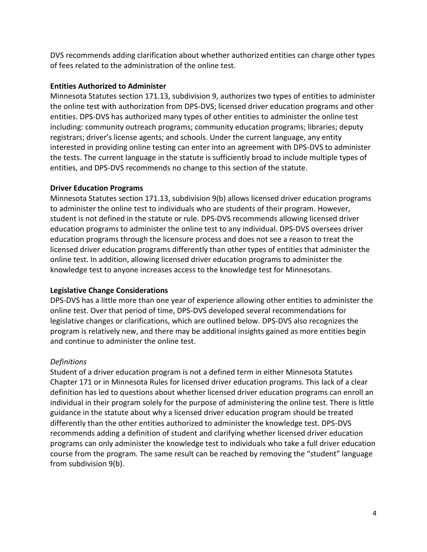DVS recommends adding clarification about whether authorized entities can charge other types of fees related to the administration of the online test.

#### **Entities Authorized to Administer**

Minnesota Statutes section 171.13, subdivision 9, authorizes two types of entities to administer the online test with authorization from DPS-DVS; licensed driver education programs and other entities. DPS-DVS has authorized many types of other entities to administer the online test including: community outreach programs; community education programs; libraries; deputy registrars; driver's license agents; and schools. Under the current language, any entity interested in providing online testing can enter into an agreement with DPS-DVS to administer the tests. The current language in the statute is sufficiently broad to include multiple types of entities, and DPS-DVS recommends no change to this section of the statute.

#### **Driver Education Programs**

Minnesota Statutes section 171.13, subdivision 9(b) allows licensed driver education programs to administer the online test to individuals who are students of their program. However, student is not defined in the statute or rule. DPS-DVS recommends allowing licensed driver education programs to administer the online test to any individual. DPS-DVS oversees driver education programs through the licensure process and does not see a reason to treat the licensed driver education programs differently than other types of entities that administer the online test. In addition, allowing licensed driver education programs to administer the knowledge test to anyone increases access to the knowledge test for Minnesotans.

#### **Legislative Change Considerations**

DPS-DVS has a little more than one year of experience allowing other entities to administer the online test. Over that period of time, DPS-DVS developed several recommendations for legislative changes or clarifications, which are outlined below. DPS-DVS also recognizes the program is relatively new, and there may be additional insights gained as more entities begin and continue to administer the online test.

#### *Definitions*

Student of a driver education program is not a defined term in either Minnesota Statutes Chapter 171 or in Minnesota Rules for licensed driver education programs. This lack of a clear definition has led to questions about whether licensed driver education programs can enroll an individual in their program solely for the purpose of administering the online test. There is little guidance in the statute about why a licensed driver education program should be treated differently than the other entities authorized to administer the knowledge test. DPS-DVS recommends adding a definition of student and clarifying whether licensed driver education programs can only administer the knowledge test to individuals who take a full driver education course from the program. The same result can be reached by removing the "student" language from subdivision 9(b).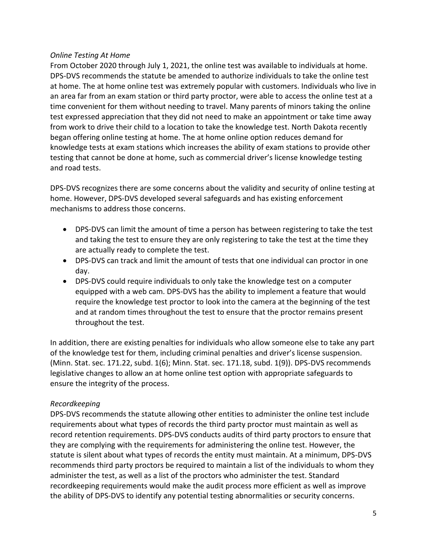#### *Online Testing At Home*

From October 2020 through July 1, 2021, the online test was available to individuals at home. DPS-DVS recommends the statute be amended to authorize individuals to take the online test at home. The at home online test was extremely popular with customers. Individuals who live in an area far from an exam station or third party proctor, were able to access the online test at a time convenient for them without needing to travel. Many parents of minors taking the online test expressed appreciation that they did not need to make an appointment or take time away from work to drive their child to a location to take the knowledge test. North Dakota recently began offering online testing at home. The at home online option reduces demand for knowledge tests at exam stations which increases the ability of exam stations to provide other testing that cannot be done at home, such as commercial driver's license knowledge testing and road tests.

DPS-DVS recognizes there are some concerns about the validity and security of online testing at home. However, DPS-DVS developed several safeguards and has existing enforcement mechanisms to address those concerns.

- DPS-DVS can limit the amount of time a person has between registering to take the test and taking the test to ensure they are only registering to take the test at the time they are actually ready to complete the test.
- DPS-DVS can track and limit the amount of tests that one individual can proctor in one day.
- DPS-DVS could require individuals to only take the knowledge test on a computer equipped with a web cam. DPS-DVS has the ability to implement a feature that would require the knowledge test proctor to look into the camera at the beginning of the test and at random times throughout the test to ensure that the proctor remains present throughout the test.

In addition, there are existing penalties for individuals who allow someone else to take any part of the knowledge test for them, including criminal penalties and driver's license suspension. (Minn. Stat. sec. 171.22, subd. 1(6); Minn. Stat. sec. 171.18, subd. 1(9)). DPS-DVS recommends legislative changes to allow an at home online test option with appropriate safeguards to ensure the integrity of the process.

#### *Recordkeeping*

DPS-DVS recommends the statute allowing other entities to administer the online test include requirements about what types of records the third party proctor must maintain as well as record retention requirements. DPS-DVS conducts audits of third party proctors to ensure that they are complying with the requirements for administering the online test. However, the statute is silent about what types of records the entity must maintain. At a minimum, DPS-DVS recommends third party proctors be required to maintain a list of the individuals to whom they administer the test, as well as a list of the proctors who administer the test. Standard recordkeeping requirements would make the audit process more efficient as well as improve the ability of DPS-DVS to identify any potential testing abnormalities or security concerns.